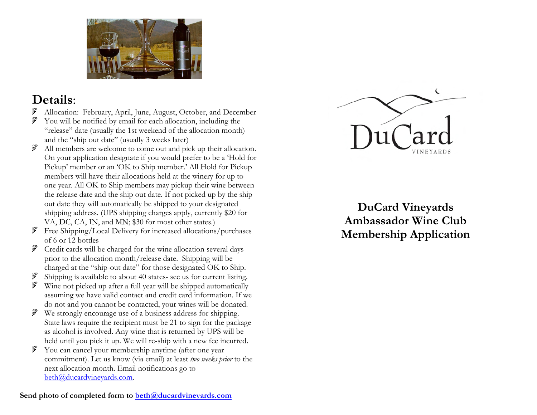

## **Details**:

- Allocation: February, April, June, August, October, and December
- ್ಲಿ You will be notified by email for each allocation, including the "release" date (usually the 1st weekend of the allocation month) and the "ship out date" (usually 3 weeks later)
- ್ಲಿ All members are welcome to come out and pick up their allocation. On your application designate if you would prefer to be a 'Hold for Pickup' member or an 'OK to Ship member.' All Hold for Pickup members will have their allocations held at the winery for up to one year. All OK to Ship members may pickup their wine between the release date and the ship out date. If not picked up by the ship out date they will automatically be shipped to your designated shipping address. (UPS shipping charges apply, currently \$20 for VA, DC, CA, IN, and MN; \$30 for most other states.)
- ್ಲಿ Free Shipping/Local Delivery for increased allocations/purchases of 6 or 12 bottles
- ್ಲಿ Credit cards will be charged for the wine allocation several days prior to the allocation month/release date. Shipping will be charged at the "ship-out date" for those designated OK to Ship.
- ್ಲಿ Shipping is available to about 40 states- see us for current listing.
- ್ಲಿಸ್ Wine not picked up after a full year will be shipped automatically assuming we have valid contact and credit card information. If we do not and you cannot be contacted, your wines will be donated.
- We strongly encourage use of a business address for shipping. State laws require the recipient must be 21 to sign for the package as alcohol is involved. Any wine that is returned by UPS will be held until you pick it up. We will re-ship with a new fee incurred.
- You can cancel your membership anytime (after one year  $\mathbb{R}^3$ commitment). Let us know (via email) at least *two weeks prior* to the next allocation month. Email notifications go to beth@ducardvineyards.com.



**DuCard Vineyards Ambassador Wine Club Membership Application**

Send photo of completed form to beth@ducardvineyards.com